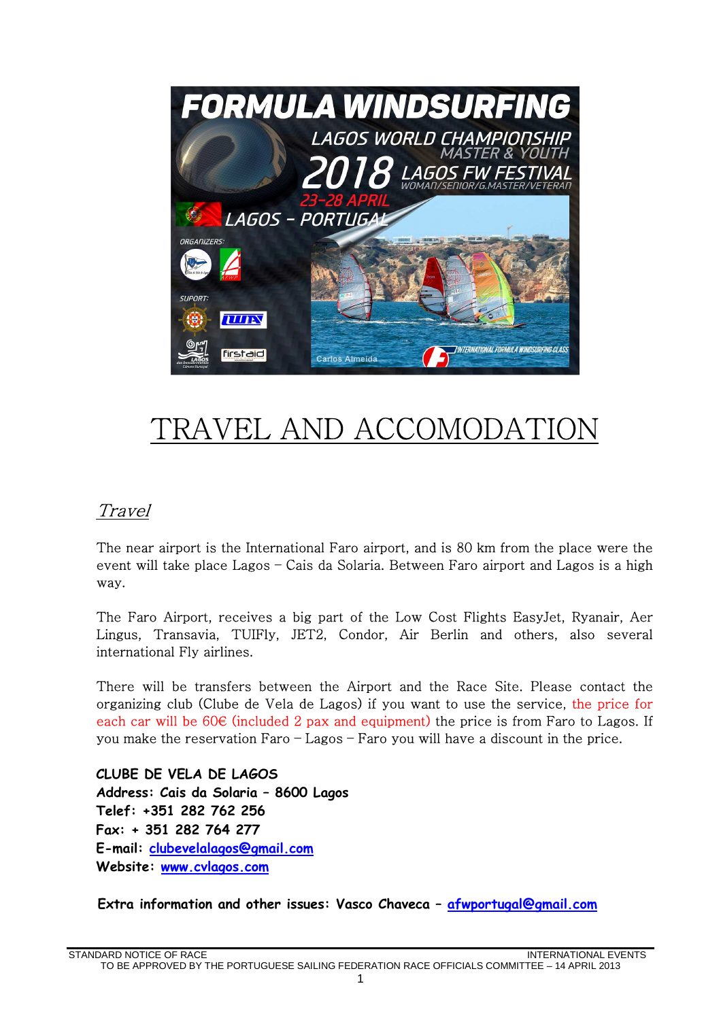

## TRAVEL AND ACCOMODAT

## **Travel**

The near airport is the International Faro airport, and is 80 km from the place were the event will take place Lagos – Cais da Solaria. Between Faro airport and Lagos is a high way.

The Faro Airport, receives a big part of the Low Cost Flights EasyJet, Ryanair, Aer Lingus, Transavia, TUIFly, JET2, Condor, Air Berlin and others, also several international Fly airlines.

There will be transfers between the Airport and the Race Site. Please contact the organizing club (Clube de Vela de Lagos) if you want to use the service, the price for each car will be  $60 \in$  (included 2 pax and equipment) the price is from Faro to Lagos. If you make the reservation Faro – Lagos – Faro you will have a discount in the price.

**CLUBE DE VELA DE LAGOS Address: Cais da Solaria – 8600 Lagos Telef: +351 282 762 256 Fax: + 351 282 764 277 E-mail: clubevelalagos@gmail.com Website: www.cvlagos.com** 

 **Extra information and other issues: Vasco Chaveca – afwportugal@gmail.com**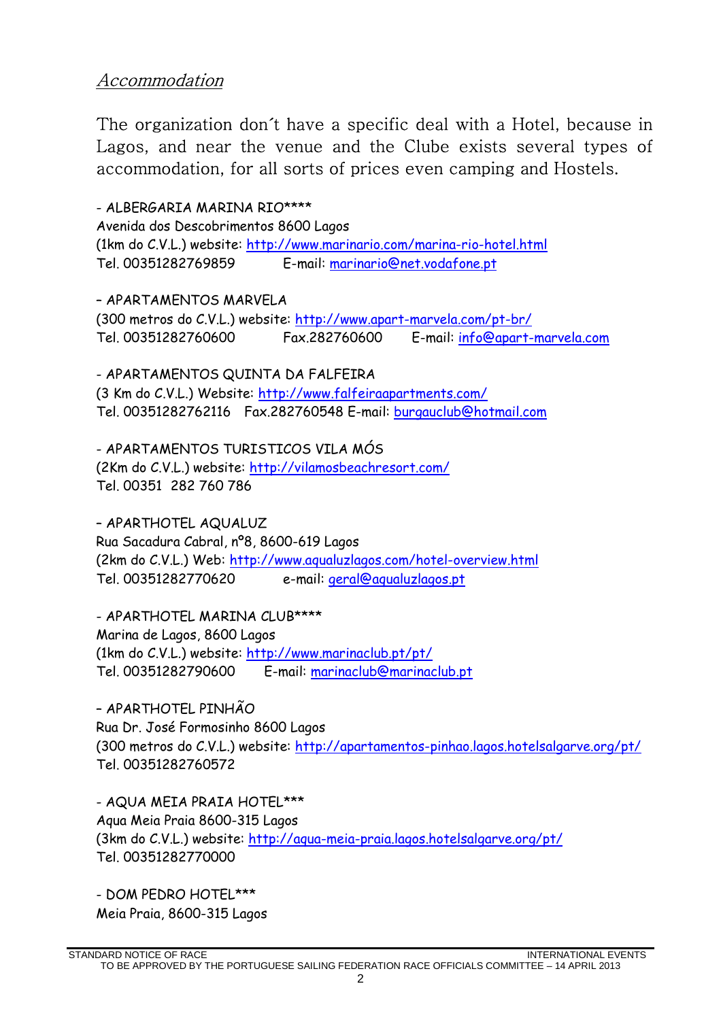## Accommodation

The organization don´t have a specific deal with a Hotel, because in Lagos, and near the venue and the Clube exists several types of accommodation, for all sorts of prices even camping and Hostels.

- ALBERGARIA MARINA RIO\*\*\*\* Avenida dos Descobrimentos 8600 Lagos (1km do C.V.L.) website: http://www.marinario.com/marina-rio-hotel.html Tel. 00351282769859 E-mail: marinario@net.vodafone.pt

– APARTAMENTOS MARVELA (300 metros do C.V.L.) website: http://www.apart-marvela.com/pt-br/ Tel. 00351282760600 Fax.282760600 E-mail: info@apart-marvela.com

- APARTAMENTOS QUINTA DA FALFEIRA (3 Km do C.V.L.) Website: http://www.falfeiraapartments.com/ Tel. 00351282762116 Fax.282760548 E-mail: burgauclub@hotmail.com

- APARTAMENTOS TURISTICOS VILA MÓS (2Km do C.V.L.) website: http://vilamosbeachresort.com/ Tel. 00351 282 760 786

– APARTHOTEL AQUALUZ Rua Sacadura Cabral, nº8, 8600-619 Lagos (2km do C.V.L.) Web: http://www.aqualuzlagos.com/hotel-overview.html Tel. 00351282770620 e-mail: geral@aqualuzlagos.pt

- APARTHOTEL MARINA CLUB\*\*\*\* Marina de Lagos, 8600 Lagos (1km do C.V.L.) website: http://www.marinaclub.pt/pt/ Tel. 00351282790600 E-mail: marinaclub@marinaclub.pt

– APARTHOTEL PINHÃO Rua Dr. José Formosinho 8600 Lagos (300 metros do C.V.L.) website: http://apartamentos-pinhao.lagos.hotelsalgarve.org/pt/ Tel. 00351282760572

- AQUA MEIA PRAIA HOTEL\*\*\* Aqua Meia Praia 8600-315 Lagos (3km do C.V.L.) website: http://aqua-meia-praia.lagos.hotelsalgarve.org/pt/ Tel. 00351282770000

- DOM PEDRO HOTEL\*\*\* Meia Praia, 8600-315 Lagos